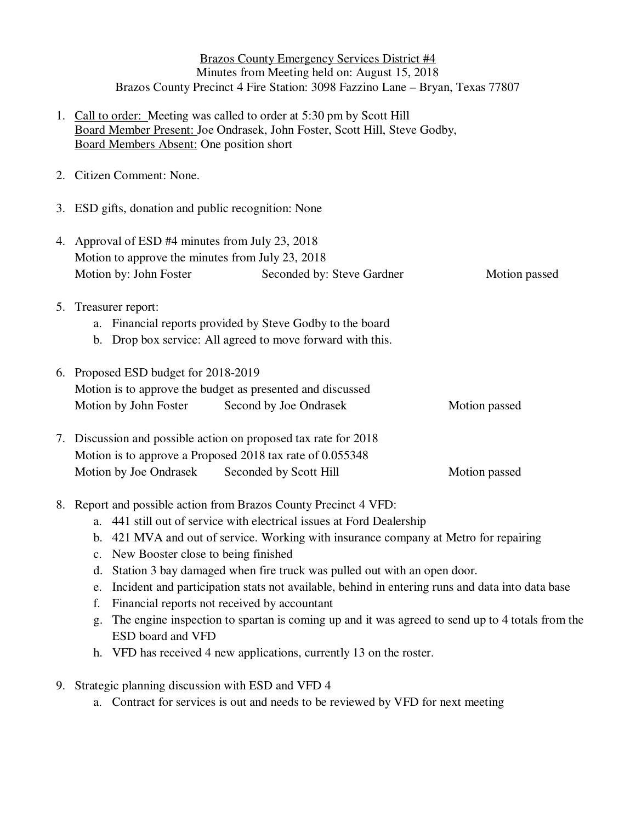Brazos County Emergency Services District #4 Minutes from Meeting held on: August 15, 2018 Brazos County Precinct 4 Fire Station: 3098 Fazzino Lane – Bryan, Texas 77807

- 1. Call to order: Meeting was called to order at 5:30 pm by Scott Hill Board Member Present: Joe Ondrasek, John Foster, Scott Hill, Steve Godby, Board Members Absent: One position short
- 2. Citizen Comment: None.
- 3. ESD gifts, donation and public recognition: None
- 4. Approval of ESD #4 minutes from July 23, 2018 Motion to approve the minutes from July 23, 2018 Motion by: John Foster Seconded by: Steve Gardner Motion passed
- 5. Treasurer report:
	- a. Financial reports provided by Steve Godby to the board
	- b. Drop box service: All agreed to move forward with this.

|  | 6. Proposed ESD budget for 2018-2019<br>Motion is to approve the budget as presented and discussed |                        |               |
|--|----------------------------------------------------------------------------------------------------|------------------------|---------------|
|  |                                                                                                    |                        |               |
|  | Motion by John Foster                                                                              | Second by Joe Ondrasek | Motion passed |
|  |                                                                                                    |                        |               |

- 7. Discussion and possible action on proposed tax rate for 2018 Motion is to approve a Proposed 2018 tax rate of 0.055348 Motion by Joe Ondrasek Seconded by Scott Hill Motion passed
- 8. Report and possible action from Brazos County Precinct 4 VFD:
	- a. 441 still out of service with electrical issues at Ford Dealership
	- b. 421 MVA and out of service. Working with insurance company at Metro for repairing
	- c. New Booster close to being finished
	- d. Station 3 bay damaged when fire truck was pulled out with an open door.
	- e. Incident and participation stats not available, behind in entering runs and data into data base
	- f. Financial reports not received by accountant
	- g. The engine inspection to spartan is coming up and it was agreed to send up to 4 totals from the ESD board and VFD
	- h. VFD has received 4 new applications, currently 13 on the roster.
- 9. Strategic planning discussion with ESD and VFD 4
	- a. Contract for services is out and needs to be reviewed by VFD for next meeting